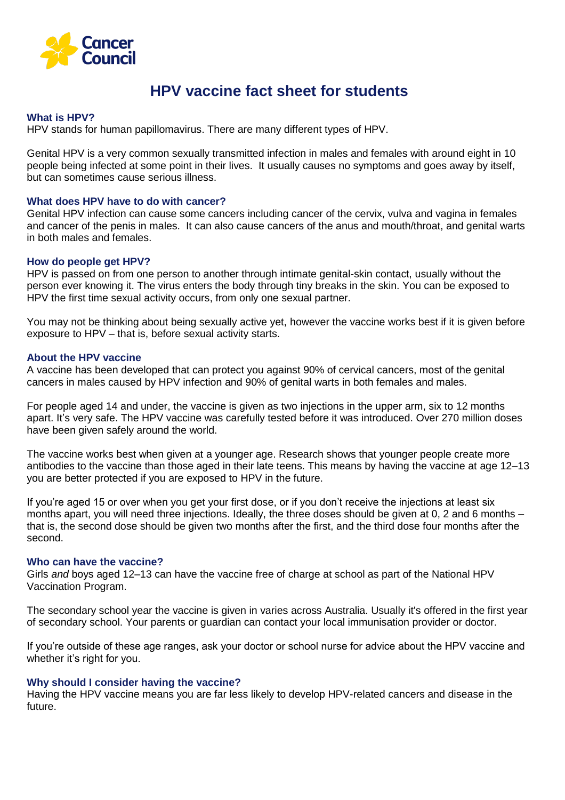

# **HPV vaccine fact sheet for students**

### **What is HPV?**

HPV stands for human papillomavirus. There are many different types of HPV.

Genital HPV is a very common sexually transmitted infection in males and females with around eight in 10 people being infected at some point in their lives. It usually causes no symptoms and goes away by itself, but can sometimes cause serious illness.

#### **What does HPV have to do with cancer?**

Genital HPV infection can cause some cancers including cancer of the cervix, vulva and vagina in females and cancer of the penis in males. It can also cause cancers of the anus and mouth/throat, and genital warts in both males and females.

#### **How do people get HPV?**

HPV is passed on from one person to another through intimate genital-skin contact, usually without the person ever knowing it. The virus enters the body through tiny breaks in the skin. You can be exposed to HPV the first time sexual activity occurs, from only one sexual partner.

You may not be thinking about being sexually active yet, however the vaccine works best if it is given before exposure to [HPV](http://www.cervicalcancervaccine.org.au/parents/parents-what-is-hpv.aspx?link=home) – that is, before sexual activity starts.

#### **About the HPV vaccine**

A vaccine has been developed that can protect you against 90% of cervical cancers, most of the genital cancers in males caused by HPV infection and 90% of genital warts in both females and males.

For people aged 14 and under, the vaccine is given as two injections in the upper arm, six to 12 months apart. It's very safe. The HPV vaccine was carefully tested before it was introduced. Over 270 million doses have been given safely around the world.

The vaccine works best when given at a younger age. Research shows that younger people create more antibodies to the vaccine than those aged in their late teens. This means by having the vaccine at age 12–13 you are better protected if you are exposed to [HPV](http://www.cervicalcancervaccine.org.au/parents/parents-what-is-hpv.aspx?link=home) in the future.

If you're aged 15 or over when you get your first dose, or if you don't receive the injections at least six months apart, you will need three injections. Ideally, the three doses should be given at 0, 2 and 6 months – that is, the second dose should be given two months after the first, and the third dose four months after the second.

#### **Who can have the vaccine?**

Girls *and* boys aged 12–13 can have the vaccine free of charge at school as part of the National HPV Vaccination Program.

The secondary school year the vaccine is given in varies across Australia. Usually it's offered in the first year of secondary school. Your parents or guardian can contact your local immunisation provider or doctor.

If you're outside of these age ranges, ask your doctor or school nurse for advice about the HPV vaccine and whether it's right for you.

#### **Why should I consider having the vaccine?**

Having the HPV vaccine means you are far less likely to develop HPV-related cancers and disease in the future.